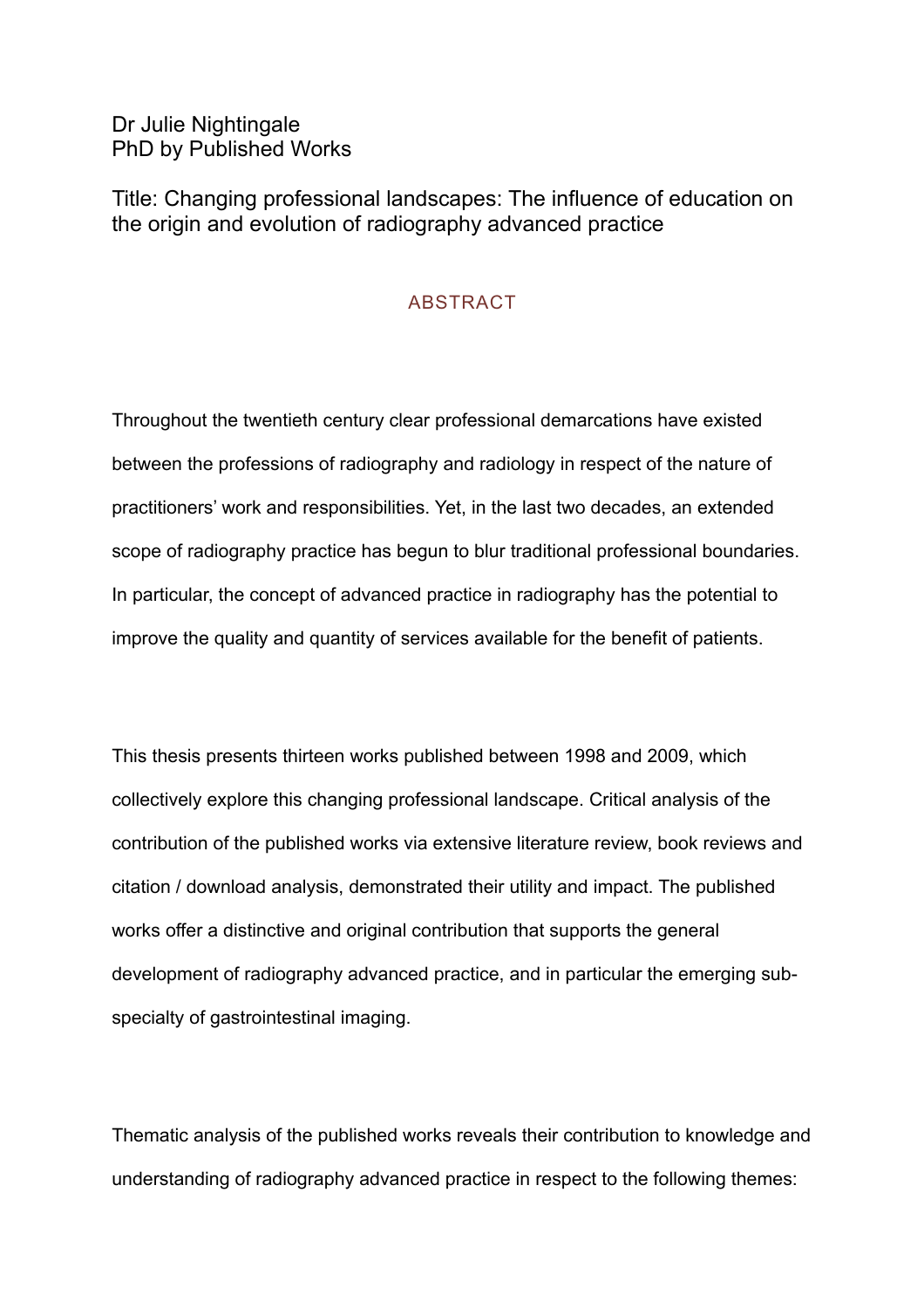Dr Julie Nightingale PhD by Published Works

Title: Changing professional landscapes: The influence of education on the origin and evolution of radiography advanced practice

## **ABSTRACT**

Throughout the twentieth century clear professional demarcations have existed between the professions of radiography and radiology in respect of the nature of practitioners' work and responsibilities. Yet, in the last two decades, an extended scope of radiography practice has begun to blur traditional professional boundaries. In particular, the concept of advanced practice in radiography has the potential to improve the quality and quantity of services available for the benefit of patients.

This thesis presents thirteen works published between 1998 and 2009, which collectively explore this changing professional landscape. Critical analysis of the contribution of the published works via extensive literature review, book reviews and citation / download analysis, demonstrated their utility and impact. The published works offer a distinctive and original contribution that supports the general development of radiography advanced practice, and in particular the emerging subspecialty of gastrointestinal imaging.

Thematic analysis of the published works reveals their contribution to knowledge and understanding of radiography advanced practice in respect to the following themes: